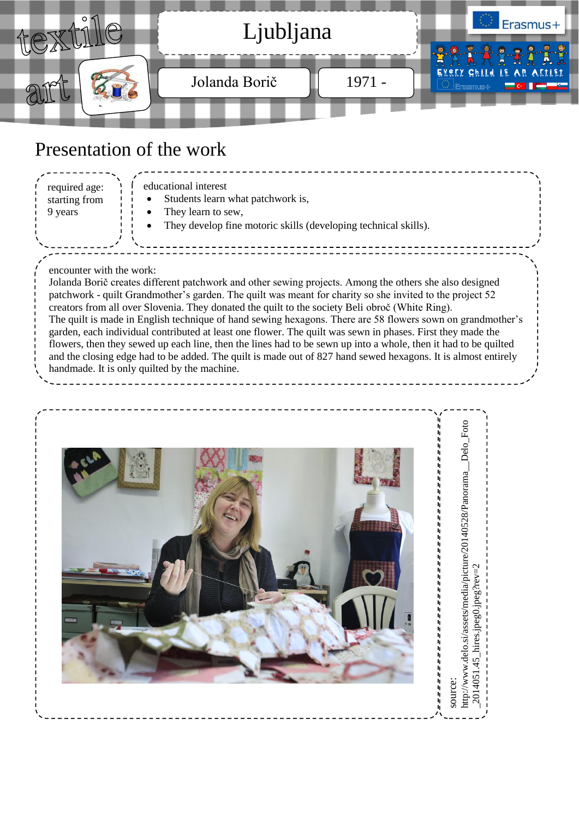

## Presentation of the work

educational interest

- Students learn what patchwork is,
- They learn to sew,
- They develop fine motoric skills (developing technical skills).

## encounter with the work:

required age: starting from 9 years

Jolanda Borič creates different patchwork and other sewing projects. Among the others she also designed patchwork - quilt Grandmother's garden. The quilt was meant for charity so she invited to the project 52 creators from all over Slovenia. They donated the quilt to the society Beli obroč (White Ring). The quilt is made in English technique of hand sewing hexagons. There are 58 flowers sown on grandmother's garden, each individual contributed at least one flower. The quilt was sewn in phases. First they made the flowers, then they sewed up each line, then the lines had to be sewn up into a whole, then it had to be quilted and the closing edge had to be added. The quilt is made out of 827 hand sewed hexagons. It is almost entirely handmade. It is only quilted by the machine.

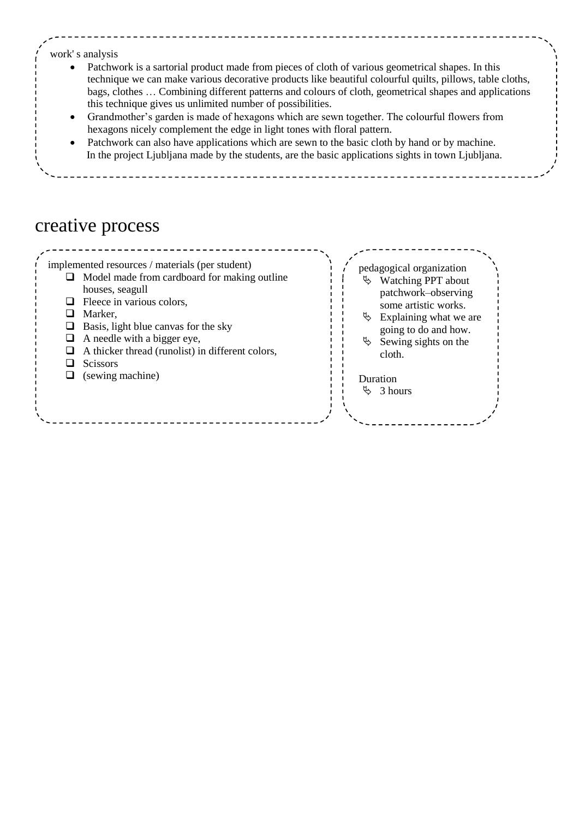### work' s analysis

- Patchwork is a sartorial product made from pieces of cloth of various geometrical shapes. In this technique we can make various decorative products like beautiful colourful quilts, pillows, table cloths, bags, clothes … Combining different patterns and colours of cloth, geometrical shapes and applications this technique gives us unlimited number of possibilities.
- Grandmother's garden is made of hexagons which are sewn together. The colourful flowers from hexagons nicely complement the edge in light tones with floral pattern.
- Patchwork can also have applications which are sewn to the basic cloth by hand or by machine. In the project Ljubljana made by the students, are the basic applications sights in town Ljubljana.

## creative process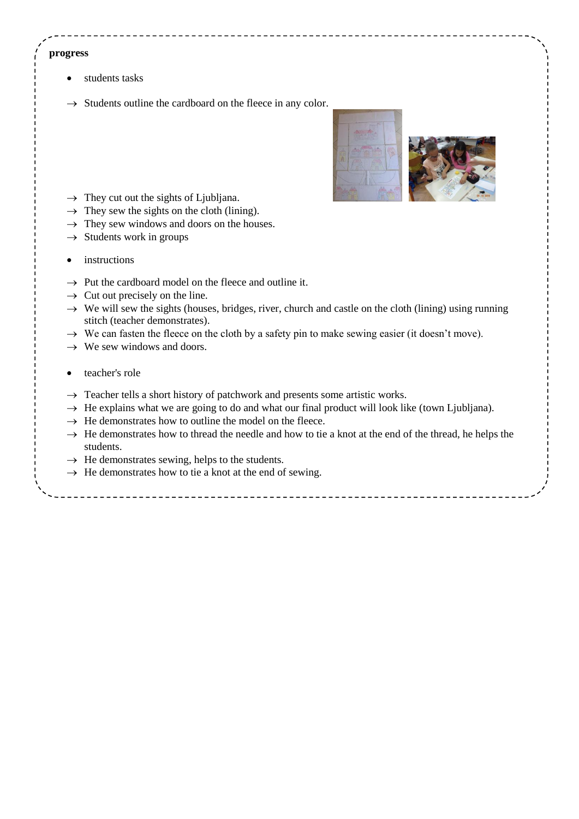#### **progress**

- students tasks
- $\rightarrow$  Students outline the cardboard on the fleece in any color.



- $\rightarrow$  They cut out the sights of Ljubljana.
- $\rightarrow$  They sew the sights on the cloth (lining).
- $\rightarrow$  They sew windows and doors on the houses.
- $\rightarrow$  Students work in groups
- instructions
- $\rightarrow$  Put the cardboard model on the fleece and outline it.
- $\rightarrow$  Cut out precisely on the line.
- $\rightarrow$  We will sew the sights (houses, bridges, river, church and castle on the cloth (lining) using running stitch (teacher demonstrates).
- $\rightarrow$  We can fasten the fleece on the cloth by a safety pin to make sewing easier (it doesn't move).
- $\rightarrow$  We sew windows and doors.
- teacher's role
- $\rightarrow$  Teacher tells a short history of patchwork and presents some artistic works.
- $\rightarrow$  He explains what we are going to do and what our final product will look like (town Ljubljana).
- $\rightarrow$  He demonstrates how to outline the model on the fleece.
- $\rightarrow$  He demonstrates how to thread the needle and how to tie a knot at the end of the thread, he helps the students.
- $\rightarrow$  He demonstrates sewing, helps to the students.
- $\rightarrow$  He demonstrates how to tie a knot at the end of sewing.